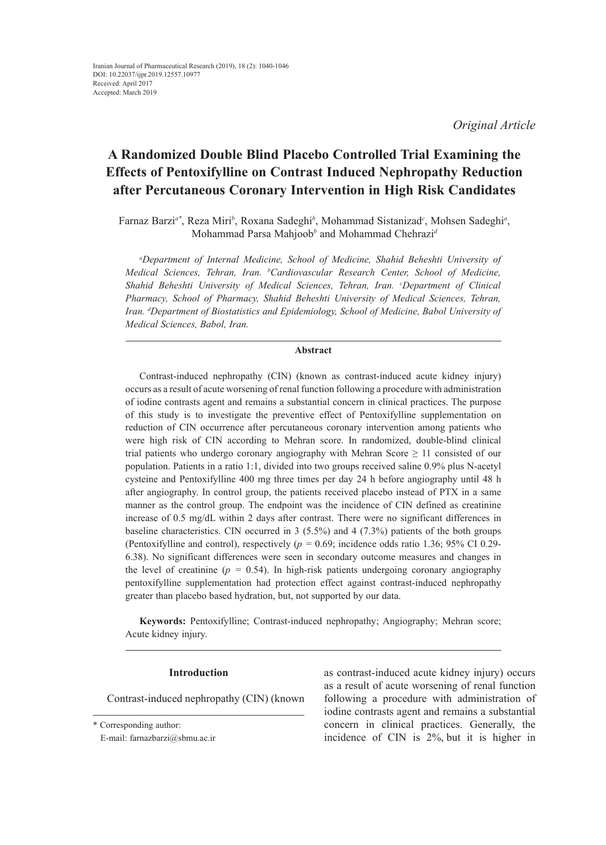*Original Article*

# **A Randomized Double Blind Placebo Controlled Trial Examining the Effects of Pentoxifylline on Contrast Induced Nephropathy Reduction after Percutaneous Coronary Intervention in High Risk Candidates**

Farnaz Barzi<sup>a\*</sup>, Reza Miri<sup>b</sup>, Roxana Sadeghi<sup>b</sup>, Mohammad Sistanizad<sup>c</sup>, Mohsen Sadeghi<sup>a</sup>, Mohammad Parsa Mahjoob*<sup>b</sup>* and Mohammad Chehrazi*<sup>d</sup>*

*a Department of Internal Medicine, School of Medicine, Shahid Beheshti University of Medical Sciences, Tehran, Iran. b Cardiovascular Research Center, School of Medicine, Shahid Beheshti University of Medical Sciences, Tehran, Iran. <sup>c</sup>Department of Clinical Pharmacy, School of Pharmacy, Shahid Beheshti University of Medical Sciences, Tehran, Iran. d Department of Biostatistics and Epidemiology, School of Medicine, Babol University of Medical Sciences, Babol, Iran.* 

# **Abstract**

Contrast-induced nephropathy (CIN) (known as contrast-induced acute kidney injury) occurs as a result of acute worsening of renal function following a procedure with administration of iodine contrasts agent and remains a substantial concern in clinical practices. The purpose of this study is to investigate the preventive effect of Pentoxifylline supplementation on reduction of CIN occurrence after percutaneous coronary intervention among patients who were high risk of CIN according to Mehran score. In randomized, double-blind clinical trial patients who undergo coronary angiography with Mehran Score  $\geq 11$  consisted of our population. Patients in a ratio 1:1, divided into two groups received saline 0.9% plus N-acetyl cysteine and Pentoxifylline 400 mg three times per day 24 h before angiography until 48 h after angiography. In control group, the patients received placebo instead of PTX in a same manner as the control group. The endpoint was the incidence of CIN defined as creatinine increase of 0.5 mg/dL within 2 days after contrast. There were no significant differences in baseline characteristics. CIN occurred in 3 (5.5%) and 4 (7.3%) patients of the both groups (Pentoxifylline and control), respectively (*p =* 0.69; incidence odds ratio 1.36; 95% CI 0.29- 6.38). No significant differences were seen in secondary outcome measures and changes in the level of creatinine  $(p = 0.54)$ . In high-risk patients undergoing coronary angiography pentoxifylline supplementation had protection effect against contrast-induced nephropathy greater than placebo based hydration, but, not supported by our data.

**Keywords:** Pentoxifylline; Contrast-induced nephropathy; Angiography; Mehran score; Acute kidney injury.

# **Introduction**

Contrast-induced nephropathy (CIN) (known

as contrast-induced acute kidney injury) occurs as a result of acute worsening of renal function following a procedure with administration of iodine contrasts agent and remains a substantial concern in clinical practices. Generally, the incidence of CIN is 2%, but it is higher in

<sup>\*</sup> Corresponding author:

E-mail: farnazbarzi@sbmu.ac.ir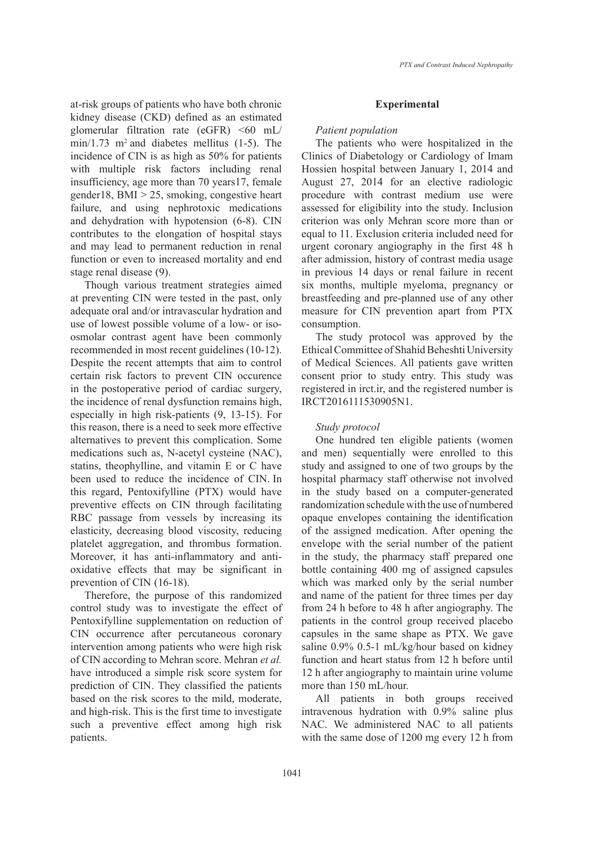at-risk groups of patients who have both chronic kidney disease (CKD) defined as an estimated glomerular filtration rate (eGFR)  $\leq 60$  mL/  $min/1.73$  m<sup>2</sup> and diabetes mellitus (1-5). The incidence of CIN is as high as 50% for patients with multiple risk factors including renal insufficiency, age more than 70 years17, female gender18, BMI > 25, smoking, congestive heart failure, and using nephrotoxic medications and dehydration with hypotension (6-8). CIN contributes to the elongation of hospital stays and may lead to permanent reduction in renal function or even to increased mortality and end stage renal disease (9).

Though various treatment strategies aimed at preventing CIN were tested in the past, only adequate oral and/or intravascular hydration and use of lowest possible volume of a low- or isoosmolar contrast agent have been commonly recommended in most recent guidelines (10-12). Despite the recent attempts that aim to control certain risk factors to prevent CIN occurence in the postoperative period of cardiac surgery, the incidence of renal dysfunction remains high, especially in high risk-patients (9, 13-15). For this reason, there is a need to seek more effective alternatives to prevent this complication. Some medications such as, N-acetyl cysteine (NAC), statins, theophylline, and vitamin E or C have been used to reduce the incidence of CIN. In this regard, Pentoxifylline (PTX) would have preventive effects on CIN through facilitating RBC passage from vessels by increasing its elasticity, decreasing blood viscosity, reducing platelet aggregation, and thrombus formation. Moreover, it has anti-inflammatory and antioxidative effects that may be significant in prevention of CIN (16-18).

Therefore, the purpose of this randomized control study was to investigate the effect of Pentoxifylline supplementation on reduction of CIN occurrence after percutaneous coronary intervention among patients who were high risk of CIN according to Mehran score. Mehran *et al.* have introduced a simple risk score system for prediction of CIN. They classified the patients based on the risk scores to the mild, moderate, and high-risk. This is the first time to investigate such a preventive effect among high risk patients.

#### **Experimental**

#### *Patient population*

The patients who were hospitalized in the Clinics of Diabetology or Cardiology of Imam Hossien hospital between January 1, 2014 and August 27, 2014 for an elective radiologic procedure with contrast medium use were assessed for eligibility into the study. Inclusion criterion was only Mehran score more than or equal to 11. Exclusion criteria included need for urgent coronary angiography in the first 48 h after admission, history of contrast media usage in previous 14 days or renal failure in recent six months, multiple myeloma, pregnancy or breastfeeding and pre-planned use of any other measure for CIN prevention apart from PTX consumption.

The study protocol was approved by the Ethical Committee of Shahid Beheshti University of Medical Sciences. All patients gave written consent prior to study entry. This study was registered in irct.ir, and the registered number is IRCT2016111530905N1.

#### *Study protocol*

One hundred ten eligible patients (women and men) sequentially were enrolled to this study and assigned to one of two groups by the hospital pharmacy staff otherwise not involved in the study based on a computer-generated randomization schedule with the use of numbered opaque envelopes containing the identification of the assigned medication. After opening the envelope with the serial number of the patient in the study, the pharmacy staff prepared one bottle containing 400 mg of assigned capsules which was marked only by the serial number and name of the patient for three times per day from 24 h before to 48 h after angiography. The patients in the control group received placebo capsules in the same shape as PTX. We gave saline 0.9% 0.5-1 mL/kg/hour based on kidney function and heart status from 12 h before until 12 h after angiography to maintain urine volume more than 150 mL/hour.

All patients in both groups received intravenous hydration with 0.9% saline plus NAC. We administered NAC to all patients with the same dose of 1200 mg every 12 h from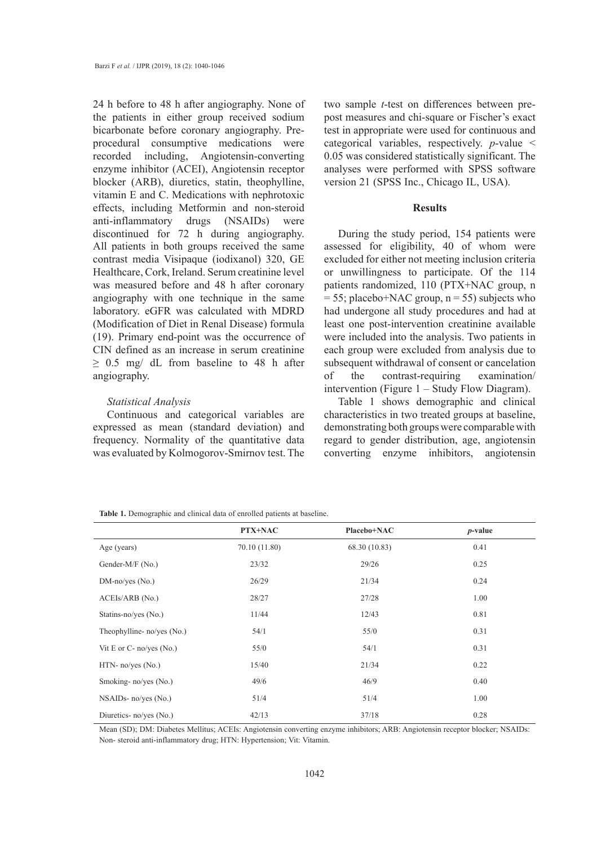24 h before to 48 h after angiography. None of the patients in either group received sodium bicarbonate before coronary angiography. Preprocedural consumptive medications were recorded including, Angiotensin-converting enzyme inhibitor (ACEI), Angiotensin receptor blocker (ARB), diuretics, statin, theophylline, vitamin E and C. Medications with nephrotoxic effects, including Metformin and non-steroid anti-inflammatory drugs (NSAIDs) were discontinued for 72 h during angiography. All patients in both groups received the same contrast media Visipaque (iodixanol) 320, GE Healthcare, Cork, Ireland. Serum creatinine level was measured before and 48 h after coronary angiography with one technique in the same laboratory. eGFR was calculated with MDRD (Modification of Diet in Renal Disease) formula (19). Primary end-point was the occurrence of CIN defined as an increase in serum creatinine  $\geq$  0.5 mg/ dL from baseline to 48 h after angiography.

# *Statistical Analysis*

Continuous and categorical variables are expressed as mean (standard deviation) and frequency. Normality of the quantitative data was evaluated by Kolmogorov-Smirnov test. The

two sample *t*-test on differences between prepost measures and chi-square or Fischer's exact test in appropriate were used for continuous and categorical variables, respectively. *p*-value < 0.05 was considered statistically significant. The analyses were performed with SPSS software version 21 (SPSS Inc., Chicago IL, USA).

### **Results**

During the study period, 154 patients were assessed for eligibility, 40 of whom were excluded for either not meeting inclusion criteria or unwillingness to participate. Of the 114 patients randomized, 110 (PTX+NAC group, n  $= 55$ ; placebo+NAC group, n = 55) subjects who had undergone all study procedures and had at least one post-intervention creatinine available were included into the analysis. Two patients in each group were excluded from analysis due to subsequent withdrawal of consent or cancelation of the contrast-requiring examination/ intervention (Figure 1 – Study Flow Diagram).

Table 1 shows demographic and clinical characteristics in two treated groups at baseline, demonstrating both groups were comparable with regard to gender distribution, age, angiotensin converting enzyme inhibitors, angiotensin

| Table 1. Demographic and clinical data of enrolled patients at baseline. |  |  |
|--------------------------------------------------------------------------|--|--|
|--------------------------------------------------------------------------|--|--|

|                            | PTX+NAC       | Placebo+NAC   | $p$ -value |
|----------------------------|---------------|---------------|------------|
| Age (years)                | 70.10 (11.80) | 68.30 (10.83) | 0.41       |
| Gender-M/F (No.)           | 23/32         | 29/26         | 0.25       |
| $DM-noives (No.)$          | 26/29         | 21/34         | 0.24       |
| ACEIs/ARB (No.)            | 28/27         | 27/28         | 1.00       |
| Statins-no/yes (No.)       | 11/44         | 12/43         | 0.81       |
| Theophylline- no/yes (No.) | 54/1          | 55/0          | 0.31       |
| Vit E or C- no/yes (No.)   | 55/0          | 54/1          | 0.31       |
| $HTN-$ no/yes $(No.)$      | 15/40         | 21/34         | 0.22       |
| Smoking-no/yes (No.)       | 49/6          | 46/9          | 0.40       |
| $NSAIDs- no/yes (No.)$     | 51/4          | 51/4          | 1.00       |
| Diuretics- no/yes (No.)    | 42/13         | 37/18         | 0.28       |

Mean (SD); DM: Diabetes Mellitus; ACEIs: Angiotensin converting enzyme inhibitors; ARB: Angiotensin receptor blocker; NSAIDs: Non- steroid anti-inflammatory drug; HTN: Hypertension; Vit: Vitamin.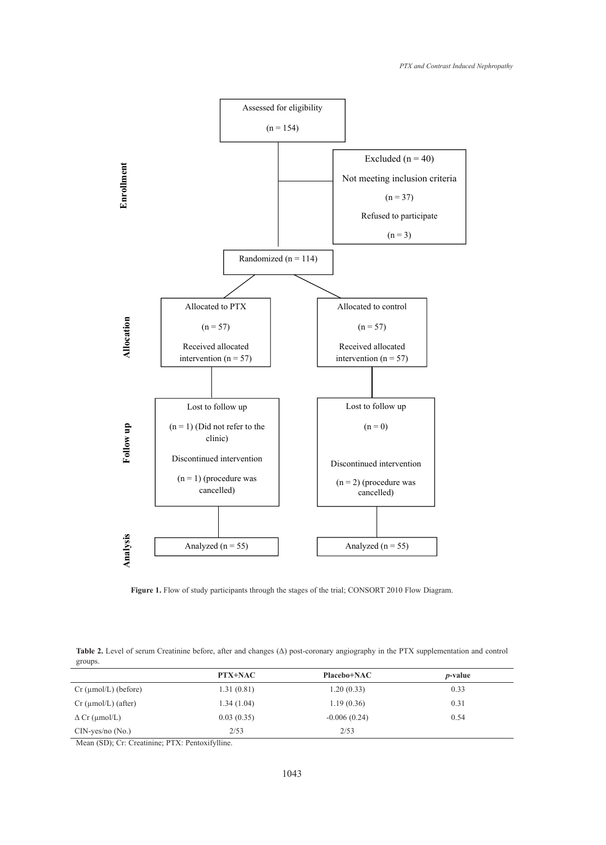

**Figure 1.** Flow of study participants through the stages of the trial; CONSORT 2010 Flow Diagram.

**Table 2.** Level of serum Creatinine before, after and changes (Δ) post-coronary angiography in the PTX supplementation and control groups.

|                                     | PTX+NAC    | Placebo+NAC    | <i>p</i> -value |
|-------------------------------------|------------|----------------|-----------------|
| $Cr \, (\mu \text{mol/L})$ (before) | 1.31(0.81) | 1.20(0.33)     | 0.33            |
| $Cr \, (\mu \text{mol/L})$ (after)  | 1.34(1.04) | 1.19(0.36)     | 0.31            |
| $\Delta$ Cr (µmol/L)                | 0.03(0.35) | $-0.006(0.24)$ | 0.54            |
| $CIN$ -yes/no $(No.)$               | 2/53       | 2/53           |                 |

Mean (SD); Cr: Creatinine; PTX: Pentoxifylline.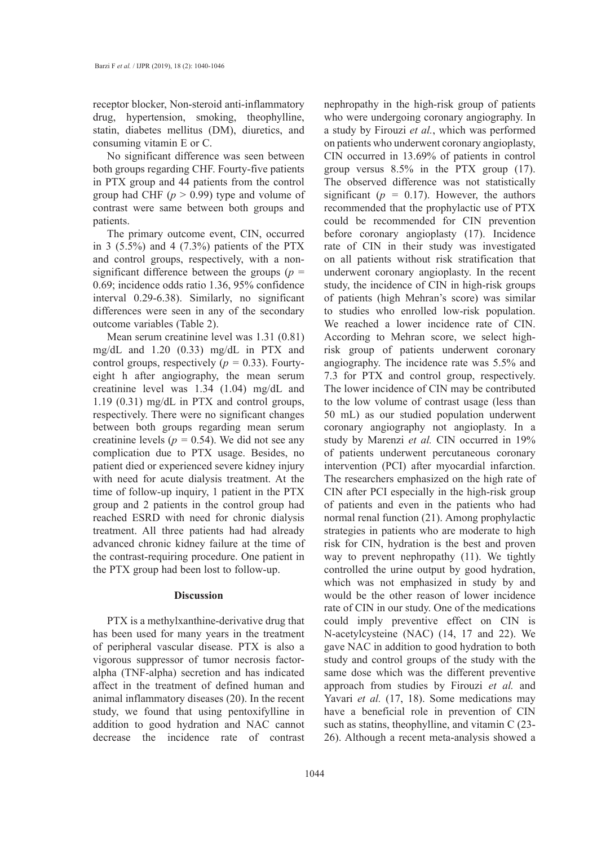receptor blocker, Non-steroid anti-inflammatory drug, hypertension, smoking, theophylline, statin, diabetes mellitus (DM), diuretics, and consuming vitamin E or C.

No significant difference was seen between both groups regarding CHF. Fourty-five patients in PTX group and 44 patients from the control group had CHF (*p* > 0.99) type and volume of contrast were same between both groups and patients.

The primary outcome event, CIN, occurred in 3  $(5.5\%)$  and 4  $(7.3\%)$  patients of the PTX and control groups, respectively, with a nonsignificant difference between the groups (*p* = 0.69; incidence odds ratio 1.36, 95% confidence interval 0.29-6.38). Similarly, no significant differences were seen in any of the secondary outcome variables (Table 2).

Mean serum creatinine level was 1.31 (0.81) mg/dL and 1.20 (0.33) mg/dL in PTX and control groups, respectively  $(p = 0.33)$ . Fourtyeight h after angiography, the mean serum creatinine level was 1.34 (1.04) mg/dL and 1.19 (0.31) mg/dL in PTX and control groups, respectively. There were no significant changes between both groups regarding mean serum creatinine levels ( $p = 0.54$ ). We did not see any complication due to PTX usage. Besides, no patient died or experienced severe kidney injury with need for acute dialysis treatment. At the time of follow-up inquiry, 1 patient in the PTX group and 2 patients in the control group had reached ESRD with need for chronic dialysis treatment. All three patients had had already advanced chronic kidney failure at the time of the contrast-requiring procedure. One patient in the PTX group had been lost to follow-up.

#### **Discussion**

PTX is a methylxanthine-derivative drug that has been used for many years in the treatment of peripheral vascular disease. PTX is also a vigorous suppressor of tumor necrosis factoralpha (TNF-alpha) secretion and has indicated affect in the treatment of defined human and animal inflammatory diseases (20). In the recent study, we found that using pentoxifylline in addition to good hydration and NAC cannot decrease the incidence rate of contrast

nephropathy in the high-risk group of patients who were undergoing coronary angiography. In a study by Firouzi *et al.*, which was performed on patients who underwent coronary angioplasty, CIN occurred in 13.69% of patients in control group versus 8.5% in the PTX group (17). The observed difference was not statistically significant ( $p = 0.17$ ). However, the authors recommended that the prophylactic use of PTX could be recommended for CIN prevention before coronary angioplasty (17). Incidence rate of CIN in their study was investigated on all patients without risk stratification that underwent coronary angioplasty. In the recent study, the incidence of CIN in high-risk groups of patients (high Mehran's score) was similar to studies who enrolled low-risk population. We reached a lower incidence rate of CIN. According to Mehran score, we select highrisk group of patients underwent coronary angiography. The incidence rate was 5.5% and 7.3 for PTX and control group, respectively. The lower incidence of CIN may be contributed to the low volume of contrast usage (less than 50 mL) as our studied population underwent coronary angiography not angioplasty. In a study by Marenzi *et al.* CIN occurred in 19% of patients underwent percutaneous coronary intervention (PCI) after myocardial infarction. The researchers emphasized on the high rate of CIN after PCI especially in the high-risk group of patients and even in the patients who had normal renal function (21). Among prophylactic strategies in patients who are moderate to high risk for CIN, hydration is the best and proven way to prevent nephropathy (11). We tightly controlled the urine output by good hydration, which was not emphasized in study by and would be the other reason of lower incidence rate of CIN in our study. One of the medications could imply preventive effect on CIN is N-acetylcysteine (NAC) (14, 17 and 22). We gave NAC in addition to good hydration to both study and control groups of the study with the same dose which was the different preventive approach from studies by Firouzi *et al.* and Yavari *et al.* (17, 18). Some medications may have a beneficial role in prevention of CIN such as statins, theophylline, and vitamin C (23- 26). Although a recent meta-analysis showed a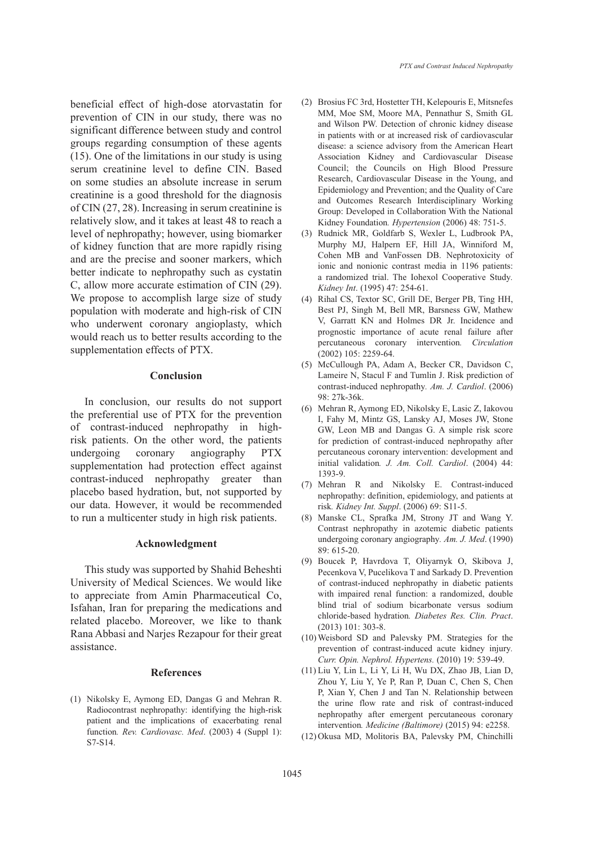beneficial effect of high-dose atorvastatin for prevention of CIN in our study, there was no significant difference between study and control groups regarding consumption of these agents (15). One of the limitations in our study is using serum creatinine level to define CIN. Based on some studies an absolute increase in serum creatinine is a good threshold for the diagnosis of CIN (27, 28). Increasing in serum creatinine is relatively slow, and it takes at least 48 to reach a level of nephropathy; however, using biomarker of kidney function that are more rapidly rising and are the precise and sooner markers, which better indicate to nephropathy such as cystatin C, allow more accurate estimation of CIN (29). We propose to accomplish large size of study population with moderate and high-risk of CIN who underwent coronary angioplasty, which would reach us to better results according to the supplementation effects of PTX.

## **Conclusion**

In conclusion, our results do not support the preferential use of PTX for the prevention of contrast-induced nephropathy in highrisk patients. On the other word, the patients undergoing coronary angiography PTX supplementation had protection effect against contrast-induced nephropathy greater than placebo based hydration, but, not supported by our data. However, it would be recommended to run a multicenter study in high risk patients.

### **Acknowledgment**

This study was supported by Shahid Beheshti University of Medical Sciences. We would like to appreciate from Amin Pharmaceutical Co, Isfahan, Iran for preparing the medications and related placebo. Moreover, we like to thank Rana Abbasi and Narjes Rezapour for their great assistance.

# **References**

(1) Nikolsky E, Aymong ED, Dangas G and Mehran R. Radiocontrast nephropathy: identifying the high-risk patient and the implications of exacerbating renal function*. Rev. Cardiovasc. Med*. (2003) 4 (Suppl 1): S7-S14.

- Brosius FC 3rd, Hostetter TH, Kelepouris E, Mitsnefes (2) MM, Moe SM, Moore MA, Pennathur S, Smith GL and Wilson PW. Detection of chronic kidney disease in patients with or at increased risk of cardiovascular disease: a science advisory from the American Heart Association Kidney and Cardiovascular Disease Council; the Councils on High Blood Pressure Research, Cardiovascular Disease in the Young, and Epidemiology and Prevention; and the Quality of Care and Outcomes Research Interdisciplinary Working Group: Developed in Collaboration With the National Kidney Foundation*. Hypertension* (2006) 48: 751-5.
- (3) Rudnick MR, Goldfarb S, Wexler L, Ludbrook PA, Murphy MJ, Halpern EF, Hill JA, Winniford M, Cohen MB and VanFossen DB. Nephrotoxicity of ionic and nonionic contrast media in 1196 patients: a randomized trial. The Iohexol Cooperative Study*. Kidney Int*. (1995) 47: 254-61.
- (4) Rihal CS, Textor SC, Grill DE, Berger PB, Ting HH, Best PJ, Singh M, Bell MR, Barsness GW, Mathew V, Garratt KN and Holmes DR Jr. Incidence and prognostic importance of acute renal failure after percutaneous coronary intervention*. Circulation* (2002) 105: 2259-64.
- (5) McCullough PA, Adam A, Becker CR, Davidson C, Lameire N, Stacul F and Tumlin J. Risk prediction of contrast-induced nephropathy*. Am. J. Cardiol*. (2006) 98: 27k-36k.
- (6) Mehran R, Aymong ED, Nikolsky E, Lasic Z, Iakovou I, Fahy M, Mintz GS, Lansky AJ, Moses JW, Stone GW, Leon MB and Dangas G. A simple risk score for prediction of contrast-induced nephropathy after percutaneous coronary intervention: development and initial validation*. J. Am. Coll. Cardiol*. (2004) 44: 1393-9.
- (7) Mehran R and Nikolsky E. Contrast-induced nephropathy: definition, epidemiology, and patients at risk*. Kidney Int. Suppl*. (2006) 69: S11-5.
- Manske CL, Sprafka JM, Strony JT and Wang Y. (8) Contrast nephropathy in azotemic diabetic patients undergoing coronary angiography*. Am. J. Med*. (1990) 89: 615-20.
- Boucek P, Havrdova T, Oliyarnyk O, Skibova J, (9) Pecenkova V, Pucelikova T and Sarkady D. Prevention of contrast-induced nephropathy in diabetic patients with impaired renal function: a randomized, double blind trial of sodium bicarbonate versus sodium chloride-based hydration*. Diabetes Res. Clin. Pract*. (2013) 101: 303-8.
- Weisbord SD and Palevsky PM. Strategies for the (10) prevention of contrast-induced acute kidney injury*. Curr. Opin. Nephrol. Hypertens.* (2010) 19: 539-49.
- Liu Y, Lin L, Li Y, Li H, Wu DX, Zhao JB, Lian D, (11) Zhou Y, Liu Y, Ye P, Ran P, Duan C, Chen S, Chen P, Xian Y, Chen J and Tan N. Relationship between the urine flow rate and risk of contrast-induced nephropathy after emergent percutaneous coronary intervention*. Medicine (Baltimore)* (2015) 94: e2258.
- (12) Okusa MD, Molitoris BA, Palevsky PM, Chinchilli